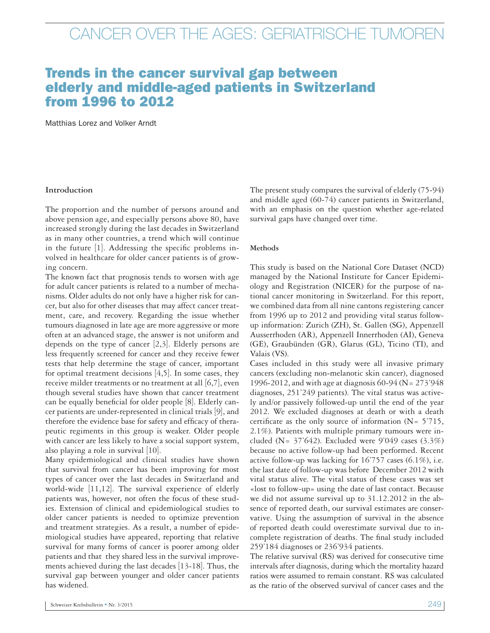### Trends in the cancer survival gap between elderly and middle-aged patients in Switzerland from 1996 to 2012

Matthias Lorez and Volker Arndt

#### **Introduction**

The proportion and the number of persons around and above pension age, and especially persons above 80, have increased strongly during the last decades in Switzerland as in many other countries, a trend which will continue in the future [1]. Addressing the specific problems involved in healthcare for older cancer patients is of growing concern.

The known fact that prognosis tends to worsen with age for adult cancer patients is related to a number of mechanisms. Older adults do not only have a higher risk for cancer, but also for other diseases that may affect cancer treatment, care, and recovery. Regarding the issue whether tumours diagnosed in late age are more aggressive or more often at an advanced stage, the answer is not uniform and depends on the type of cancer [2,3]. Elderly persons are less frequently screened for cancer and they receive fewer tests that help determine the stage of cancer, important for optimal treatment decisions  $[4,5]$ . In some cases, they receive milder treatments or no treatment at all  $[6,7]$ , even though several studies have shown that cancer treatment can be equally beneficial for older people [8]. Elderly cancer patients are under-represented in clinical trials [9], and therefore the evidence base for safety and efficacy of therapeutic regiments in this group is weaker. Older people with cancer are less likely to have a social support system, also playing a role in survival [10].

Many epidemiological and clinical studies have shown that survival from cancer has been improving for most types of cancer over the last decades in Switzerland and world-wide [11,12]. The survival experience of elderly patients was, however, not often the focus of these studies. Extension of clinical and epidemiological studies to older cancer patients is needed to optimize prevention and treatment strategies. As a result, a number of epidemiological studies have appeared, reporting that relative survival for many forms of cancer is poorer among older patients and that they shared less in the survival improvements achieved during the last decades [13-18]. Thus, the survival gap between younger and older cancer patients has widened.

The present study compares the survival of elderly (75-94) and middle aged (60-74) cancer patients in Switzerland, with an emphasis on the question whether age-related survival gaps have changed over time.

#### **Methods**

This study is based on the National Core Dataset (NCD) managed by the National Institute for Cancer Epidemiology and Registration (NICER) for the purpose of national cancer monitoring in Switzerland. For this report, we combined data from all nine cantons registering cancer from 1996 up to 2012 and providing vital status followup information: Zurich (ZH), St. Gallen (SG), Appenzell Ausserrhoden (AR), Appenzell Innerrhoden (AI), Geneva (GE), Graubünden (GR), Glarus (GL), Ticino (TI), and Valais (VS).

Cases included in this study were all invasive primary cancers (excluding non-melanotic skin cancer), diagnosed 1996-2012, and with age at diagnosis 60-94 (N= 273'948 diagnoses, 251'249 patients). The vital status was actively and/or passively followed-up until the end of the year 2012. We excluded diagnoses at death or with a death certificate as the only source of information  $(N= 5'715,$ 2.1%). Patients with multiple primary tumours were included (N=  $37'642$ ). Excluded were 9'049 cases (3.3%) because no active follow-up had been performed. Recent active follow-up was lacking for 16'757 cases (6.1%), i.e. the last date of follow-up was before December 2012 with vital status alive. The vital status of these cases was set «lost to follow-up» using the date of last contact. Because we did not assume survival up to 31.12.2012 in the absence of reported death, our survival estimates are conservative. Using the assumption of survival in the absence of reported death could overestimate survival due to incomplete registration of deaths. The final study included 259'184 diagnoses or 236'934 patients.

The relative survival (RS) was derived for consecutive time intervals after diagnosis, during which the mortality hazard ratios were assumed to remain constant. RS was calculated as the ratio of the observed survival of cancer cases and the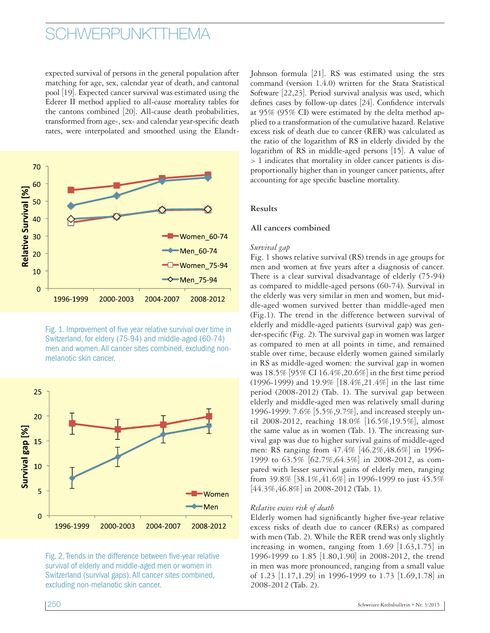### **SCHWERPUNKTTHEMA**

expected survival of persons in the general population after matching for age, sex, calendar year of death, and cantonal pool [19]. Expected cancer survival was estimated using the Ederer II method applied to all-cause mortality tables for the cantons combined [20]. All-cause death probabilities, transformed from age-, sex- and calendar year-specific death rates, were interpolated and smoothed using the Elandt-



Fig. 1. Improvement of five year relative survival over time in Switzerland, for eldery (75-94) and middle-aged (60-74) men and women. All cancer sites combined, excluding nonmelanotic skin cancer.



Fig. 2. Trends in the difference between five-year relative survival of elderly and middle-aged men or women in Switzerland (survival gaps). All cancer sites combined, excluding non-melanotic skin cancer.

Johnson formula [21]. RS was estimated using the strs command (version 1.4.0) written for the Stata Statistical Software [22,23]. Period survival analysis was used, which defines cases by follow-up dates [24]. Confidence intervals at 95% (95% CI) were estimated by the delta method applied to a transformation of the cumulative hazard. Relative excess risk of death due to cancer (RER) was calculated as the ratio of the logarithm of RS in elderly divided by the logarithm of RS in middle-aged persons [15]. A value of > 1 indicates that mortality in older cancer patients is disproportionally higher than in younger cancer patients, after accounting for age specific baseline mortality.

#### **Results**

#### **All cancers combined**

#### *Survival gap*

Fig. 1 shows relative survival (RS) trends in age groups for men and women at five years after a diagnosis of cancer. There is a clear survival disadvantage of elderly (75-94) as compared to middle-aged persons (60-74). Survival in the elderly was very similar in men and women, but middle-aged women survived better than middle-aged men (Fig.1). The trend in the difference between survival of elderly and middle-aged patients (survival gap) was gender-specific (Fig. 2). The survival gap in women was larger as compared to men at all points in time, and remained stable over time, because elderly women gained similarly in RS as middle-aged women: the survival gap in women was 18.5% [95% CI 16.4%,20.6%] in the first time period (1996-1999) and 19.9% [18.4%,21.4%] in the last time period (2008-2012) (Tab. 1). The survival gap between elderly and middle-aged men was relatively small during 1996-1999: 7.6% [5.5%,9.7%], and increased steeply until 2008-2012, reaching 18.0% [16.5%,19.5%], almost the same value as in women (Tab. 1). The increasing survival gap was due to higher survival gains of middle-aged men: RS ranging from 47.4% [46.2%,48.6%] in 1996- 1999 to 63.5% [62.7%,64.3%] in 2008-2012, as compared with lesser survival gains of elderly men, ranging from 39.8% [38.1%,41.6%] in 1996-1999 to just 45.5%  $[44.3\%, 46.8\%]$  in 2008-2012 (Tab. 1).

#### *Relative excess risk of death*

Elderly women had significantly higher five-year relative excess risks of death due to cancer (RERs) as compared with men (Tab. 2). While the RER trend was only slightly increasing in women, ranging from 1.69 [1.63,1.75] in 1996-1999 to 1.85 [1.80,1.90] in 2008-2012, the trend in men was more pronounced, ranging from a small value of 1.23 [1.17,1.29] in 1996-1999 to 1.73 [1.69,1.78] in 2008-2012 (Tab. 2).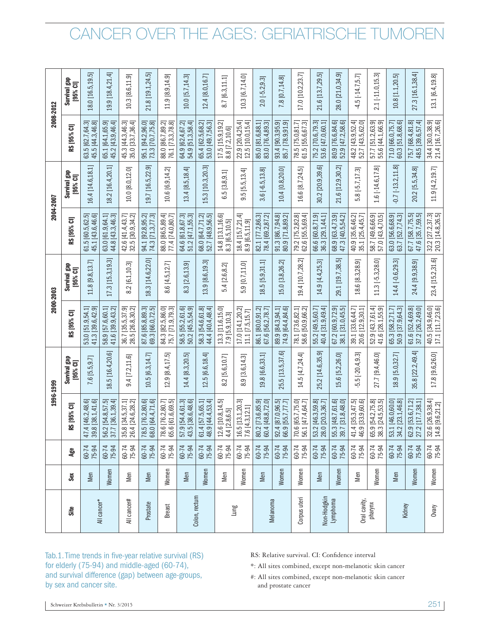|               |       |                | 1996-1999                                           |                          | 2000-2003                                              |                            | 2004-2007                              |                                       | 2008-2012                             |                          |
|---------------|-------|----------------|-----------------------------------------------------|--------------------------|--------------------------------------------------------|----------------------------|----------------------------------------|---------------------------------------|---------------------------------------|--------------------------|
| Site          | Sex   | Age            | [95% C]<br><b>SS</b>                                | Survival gap<br>[95% CI] | RS [95% CI]                                            | Survival gap<br>$[95%$ CI] | RS [95% CI]                            | Survival gap<br>[95% CI]              | RS [95% CI]                           | Survival gap<br>[95% CI] |
|               | Men   | 60-74<br>75-94 | [46.2, 48.6]<br>[38.1, 41.6]<br>39.8<br>47.4        | $7.6$ [5.5,9.7]          | 41.3 [39.6,42.9]<br>53.0 [51.9,54.1]                   | 11.8 [9.8,13.7]            | 61.5 [60.5,62.5]<br>45.1 [43.6,46.6]   | 16.4 [14.6,18.1]                      | 45.5 [44.3,46.8]<br>63.5 [62.7,64.3]  | 18.0 [16.5,19.5]         |
| All cancer*   | Women | 60-74<br>75-94 | [36.1, 39.4]<br>[54.8, 57.5]<br>56.2<br>37.7        | 18.5 [16.4,20.6]         | 58.9 [57.6,60.1]<br>41.6 [39.9,43.2]                   | 17.3 [15.3,19.3]           | 63.0 [61.9,64.1]<br>44.8 [43.3,46.3]   | 18.2 [16.4,20.1]                      | 45.2 [43.9,46.4]<br>65.1 [64.1,65.9]  | 19.9 [18.4,21.4]         |
| All cancer#   | Men   | 60-74<br>75-94 | [24.6, 28.2]<br>[34.5, 37.1]<br>$35.8$  <br>$26.4$  | $9.4$ [7.2,11.6]         | 36.7 [35.5,37.9]<br>28.5 [26.8,30.2]                   | $8.2$ [6.1,10.3]           | 42.6 [41.4,43.7]<br>32.5 [30.9,34.2]   | 10.0 [8.0, 12.0]                      | 45.3 [44.3, 46.3]<br>35.0 [33.7,36.4] | 10.3 [8.6, 11.9]         |
| Prostate      | Men   | 60-74<br>75-94 | [64.4, 71.6]<br>[76.2, 80.6]<br>78.5<br>68.0        | 10.5 [6.3,14.7]          | 87.6 [85.8,89.3]<br>69.3 [66.0,72.5]                   | 18.3 [14.6,22.0]           | 94.1 [92.8,95.2]<br>74.3 [71.3,77.3]   | قع<br>19.7   16.5,22.                 | 95.1 [94.2,96.0]<br>73.3 [70.7,75.8]  | 21.8 [19.1,24.5]         |
| Breast        | Women | 60-74<br>75-94 | [76.2, 80.7]<br>[61.6, 69.5]<br>78.6<br>65.6        | 12.9 8.4,17.5            | 84.3 [82.5,86.0]<br>75.7 [71.9,79.3]                   | 8.6 [4.5,12.7]             | 88.0 [86.5,89.4]<br>77.4 [74.0,80.7]   | 10.6 [6.9,14.2]                       | 88.0 [86.7,89.2]<br>76.1 [73.3,78.8]  | 11.9 [8.9,14.9]          |
|               | Men   | 60-74<br>75-94 | [38.6, 48.6]<br>[54.4, 61.3]<br>$\frac{57.9}{43.5}$ | 14.4 [8.3,20.5]          | 58.5 [55.2,61.6]<br>50.2 [45.5,54.9]                   | 8.3 [2.6,13.9]             | 64.6 [61.8,67.3]<br>51.2 [47.1,55.3]   | 13.4 [8.5,18.4]                       | 54.9 [51.3,58.4]<br>64.9 [62.4,67.2]  | 10.0 [5.7,14.3]          |
| Colon, rectum | Women | 60-74<br>75-94 | [44.4, 53.4]<br>[57.5, 65.1]<br>$61.4$  <br>48.9    | 12.5 [6.6,18.4]          | 58.3 [54.6,61.8]<br>44.4 [40.4,48.4]                   | 13.9 [8.6,19.3]            | 68.0 [64.7, 71.2]<br>52.7 [48.9, 56.5] | $\overline{\Omega}$<br>15.3 [10.3,20. | 65.4 [62.5,68.2]<br>53.0 [49.7,56.3]  | 12.4 [8.0,16.7]          |
|               | Men   | 60-74<br>75-94 | 12.6 [10.8,14.5]<br>2.8,6.5<br>4.4 [2               | 2[5.6, 10.7]<br>∞        | 13.3 [11.6,15.0]<br>7.9 [5.9,10.3]                     | 5.4 [2.6,8.2]              | 14.8 [13.1,16.6]<br>8.3 [6.5,10.5]     | 6.5 [3.8,9.1]                         | 17.5 [15.9, 19.2]<br>8.8 [7.2,10.6]   | 8.7 [6.3,11.1]           |
| Lung          | Women | 60-74<br>75-94 | 16.5 [13.1,20.3]<br>7.6 [4.3,12.1]                  | [3.6, 14.3]<br>8.9       | 17.0 [14.1,20.2]<br>11.1   7.5,15.7                    | 5.9 [0.7,11.0]             | 18.4 [15.7,21.4]<br>8.9 [6.5,11.9]     | $.5$ [5.5,13.4]<br>െ                  | 12.5 [10.0,15.4]<br>22.9 [20.4,25.4]  | 10.3 [6.7,14.0]          |
|               | Men   | 60-74<br>75-94 | [73.6, 85.9]<br>[48.8, 72.0]<br>80.4                | 19.8 [6.6,33.1]          | 86.1 [80.0,91.2]<br>67.6 [56.2.78.71<br>.6 [56.2,78.7] | $18.5$ [5.9, 31.1]         | 82.1 [77.2,86.3]                       | $3.6[-6.5, 13.8]$                     | 85.0 [81.6,88.1]<br>83.0 [76.4,89.3]  | $2.0[-5.2,9.3]$          |
| Melanoma      | Women | 60-74<br>75-94 | [87.0, 96.5]<br>[55.7, 77.7]<br>66.9<br>92.4        | 25.5 [13.5,37.6]         | 74.9 [64.4,84.6]<br>89.9 [84.3,94.1]                   | 15.0 [3.8,26.2]            | 91.3 [86.7,94.8]<br>80.9 [71.8,89.2]   | 10.4 [0.8,20.0]                       | 93.4 [90.3,95.9]<br>85.7 78.9,91.9    | 7.8 [0.7,14.8]           |
| Corpus uteri  | Women | 60-74<br>75-94 | [47.4, 64.7]<br>[65.7, 75.0]<br>70.6<br>56.1        | 14.5 [4.7,24.4]          | 58.6 50.9,66.2<br>78.1 [73.6,82.1]                     | 19.4 [10.7,28.2]           | 79.2 [75.2,82.8]<br>62.6 [55.5,69.4]   | 16.6 [8.7,24.5]                       | 78.5 [75.0,81.7]<br>61.5 55.6,67.3    | 17.0 [10.2,23.7]         |
| Non-Hodgkin   | Men   | 60-74<br>75-94 | [46.3, 59.8]<br>[20.3, 36.7]<br>28.0<br>53.2        | 25.2 [14.6,35.9]         | 40.4 [31.9.49.4]<br>55.2 [49.5,60.7]                   | 14.9 [4.4,25.3]            | 36.3 [29.1,44.1]<br>66.6 [60.8,71.9    | <u>ය</u><br>30.2 [20.9,39.            | 75.2 [70.6,79.3]<br>53.6 [47.0,60.1]  | 21.6 [13.7,29.5]         |
| Lymphoma      | Women | 60-74<br>75-94 | [31.8, 48.0]<br>[48.7, 61.6]<br>55.3<br>39.7        | 15.6 [5.2,26.0]          | 67.2 [60.9,72.9]<br>38.1 [31.0,45.5]                   | 29.1 [19.7,38.5]           | 68.9 [63.4,73.9]<br>47.3 [40.5,54.2]   | 21.6 [12.9,30.2]                      | 80.9 [76.6,84.6]<br>52.9 [47.2,58.6]  | 28.0 [21.0,34.9]         |
| Oral cavity,  | Men   | 60-74<br>75-94 | [35.3, 47.5]<br>[33.9, 60.6]<br>41.4<br>46.9        | $5.5[-20.4, 9.3]$        | 39.1 [33.6,44.7]<br>20.6 [12.9,30.1]                   | 18.6 [8.3,28.9]            | 35.1 [25.4,45.7]<br>40.9 35.6,46.2     | $5.8[-5.7,17.3]$                      | 52.7 [43.5,62.0]<br>48.2 [43.9,52.4]  | $4.5[-14.7,5.7]$         |
| pharynx       | Women | 60-74<br>75-94 | [24.5, 53.5]<br>[54.2, 75.8]<br>38.3<br>65.9        | 27.7 [9.4,46.0]          | 52.9 [43.7,61.4]<br>41.6 [28.1,55.9]                   | $11.3$ [-5.3,28.0]         | 58.7 [49.6,66.9]<br>57.0 [43.4,70.5]   | 1.6 [-14.6,17.8]                      | 57.7 [51.2,63.9]<br>55.6 44.1,66.9    | 2.1 [-11.0,15.3]         |
|               | Men   | 60-74<br>75-94 | [46.0, 60.0]<br>[23.1, 46.8]<br>53.1                | 18.9 [5.0,32.7]          | 65.3 [58.2,71.7]<br>50.9 [37.9,64.3]                   | ಸ್ತ್<br>14.4 [-0.6,29.     | 63.7 [52.7,74.3]<br>63.0 [56.6,68.9]   | ∞ฺ<br>$-0.7$ [ $-13.2, 11$ ]          | 60.3 [51.8,68.6]<br>71.0 [66.0,75.7]  | $10.8$ $[1.1, 20.5]$     |
| Kidney        | Women | 60-74<br>75-94 | [53.6, 71.2]<br>[17.7, 38.1]<br>62.9<br>27.2        | 35.8 [22.2,49.4]         | 61.6 [52.4,69.8]<br>37.2 [26.2,49.0]                   | 24.4 [9.9,38.9]            | 67.7 [58.7,75.5]<br>47.6 [35.7,59.5]   | 20.2 [5.5,34.8]                       | 48.5 [39.6,57.4]<br>75.7 [68.4,81.8]  | 27.3 [16.1,38.4]         |
| Ovary         | Women | 60-74<br>75-94 | [26.9, 38.4]<br>[9.6, 21.2]<br>32.6                 | 17.8 [9.6,26.0]          | 40.5 [34.9,46.0]<br>17.1 [11.7,23.6]                   | 23.4 [15.2,31.6]           | 32.2 [27.2, 37.3]<br>20.3 [14.8, 26.5] | 11.9 [4.2,19.7]                       | 34.4 [30.0,38.9]<br>21.4 [16.7,26.6]  | 13.1 [6.4,19.8]          |

Tab.1. Time trends in five-year relative survival (RS) for elderly (75-94) and middle-aged (60-74), and survival difference (gap) between age-groups, by sex and cancer site.

RS: Relative survival. CI: Confidence interval

\*: All sites combined, except non-melanotic skin cancer

#: All sites combined, except non-melanotic skin cancer and prostate cancer

Schweizer Krebsbulletin = Nr. 3/2015 251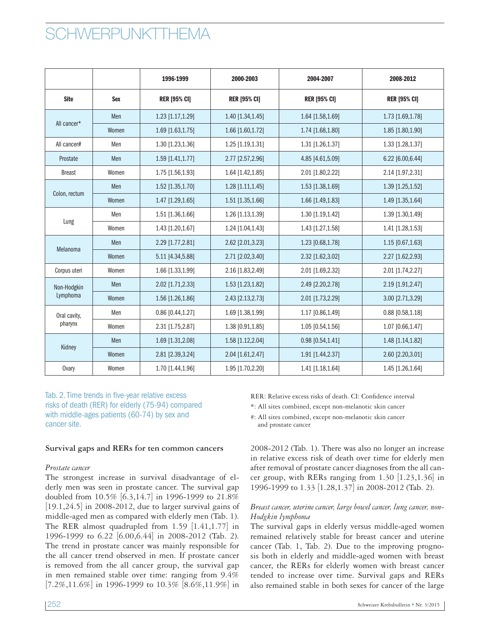## **CHWERPUNKTTHEMA**

|                         |            | 1996-1999           | 2000-2003<br>2004-2007                     |                    | 2008-2012           |
|-------------------------|------------|---------------------|--------------------------------------------|--------------------|---------------------|
| <b>Site</b>             | <b>Sex</b> | <b>RER [95% CI]</b> | <b>RER [95% CI]</b><br><b>RER [95% CI]</b> |                    | <b>RER [95% CI]</b> |
| All cancer*             | Men        | 1.23 [1.17,1.29]    | 1.40 [1.34,1.45]                           | 1.64 [1.58,1.69]   | 1.73 [1.69,1.78]    |
|                         | Women      | 1.69 [1.63,1.75]    | 1.66 [1.60,1.72]                           | 1.74 [1.68,1.80]   | 1.85 [1.80,1.90]    |
| All cancer#             | Men        | 1.30 [1.23,1.36]    | 1.25 [1.19,1.31]                           | 1.31 [1.26,1.37]   | 1.33 [1.28,1.37]    |
| Prostate                | Men        | 1.59 [1.41,1.77]    | 2.77 [2.57,2.96]                           | 4.85 [4.61,5.09]   | 6.22 [6.00,6.44]    |
| <b>Breast</b>           | Women      | 1.75 [1.56,1.93]    | 1.64 [1.42,1.85]                           | 2.01 [1.80, 2.22]  | 2.14 [1.97, 2.31]   |
| Colon, rectum           | Men        | 1.52 [1.35,1.70]    | 1.28 [1.11,1.45]                           | 1.53 [1.38,1.69]   | 1.39 [1.25,1.52]    |
|                         | Women      | 1.47 [1.29,1.65]    | 1.51 [1.35,1.66]                           | 1.66 [1.49,1.83]   | 1.49 [1.35,1.64]    |
|                         | Men        | 1.51 [1.36,1.66]    | 1.26 [1.13,1.39]                           | 1.30 [1.19,1.42]   | 1.39 [1.30,1.49]    |
| Lung                    | Women      | 1.43 [1.20,1.67]    | 1.24 [1.04,1.43]                           | 1.43 [1.27,1.58]   | 1.41 [1.28,1.53]    |
| Melanoma                | Men        | 2.29 [1.77,2.81]    | 2.62 [2.01,3.23]                           | 1.23 [0.68,1.78]   | 1.15 [0.67,1.63]    |
|                         | Women      | 5.11 [4.34,5.88]    | 2.71 [2.02,3.40]                           | 2.32 [1.62,3.02]   | 2.27 [1.62, 2.93]   |
| Corpus uteri            | Women      | 1.66 [1.33,1.99]    | 2.16 [1.83,2.49]                           | 2.01 [1.69,2.32]   | 2.01 [1.74,2.27]    |
| Non-Hodgkin             | Men        | 2.02 [1.71,2.33]    | 1.53 [1.23,1.82]                           | 2.49 [2.20, 2.78]  | 2.19 [1.91,2.47]    |
| Lymphoma                | Women      | 1.56 [1.26,1.86]    | 2.43 [2.13,2.73]                           | 2.01 [1.73,2.29]   | 3.00 [2.71,3.29]    |
| Oral cavity,<br>pharynx | Men        | 0.86 [0.44,1.27]    | 1.69 [1.38,1.99]                           | 1.17 [0.86,1.49]   | $0.88$ [0.58,1.18]  |
|                         | Women      | 2.31 [1.75,2.87]    | 1.38 [0.91,1.85]                           | 1.05 [0.54,1.56]   | 1.07 [0.66,1.47]    |
|                         | Men        | 1.69 [1.31,2.08]    | 1.58 [1.12,2.04]                           | $0.98$ [0.54,1.41] | 1.48 [1.14,1.82]    |
| Kidney                  | Women      | 2.81 [2.39,3.24]    | 2.04 [1.61,2.47]                           | 1.91 [1.44,2.37]   | 2.60 [2.20,3.01]    |
| <b>Ovary</b>            | Women      | 1.70 [1.44,1.96]    | 1.95 [1.70,2.20]                           | 1.41 [1.18,1.64]   | 1.45 [1.26,1.64]    |

Tab. 2. Time trends in five-year relative excess risks of death (RER) for elderly (75-94) compared with middle-ages patients (60-74) by sex and cancer site.

#### **Survival gaps and RERs for ten common cancers**

#### *Prostate cancer*

The strongest increase in survival disadvantage of elderly men was seen in prostate cancer. The survival gap doubled from 10.5% [6.3,14.7] in 1996-1999 to 21.8% [19.1,24.5] in 2008-2012, due to larger survival gains of middle-aged men as compared with elderly men (Tab. 1). The RER almost quadrupled from 1.59 [1.41,1.77] in 1996-1999 to 6.22 [6.00,6.44] in 2008-2012 (Tab. 2). The trend in prostate cancer was mainly responsible for the all cancer trend observed in men. If prostate cancer is removed from the all cancer group, the survival gap in men remained stable over time: ranging from 9.4%  $[7.2\%, 11.6\%]$  in 1996-1999 to 10.3%  $[8.6\%, 11.9\%]$  in

RER: Relative excess risks of death. CI: Confidence interval

\*: All sites combined, except non-melanotic skin cancer

#: All sites combined, except non-melanotic skin cancer

and prostate cancer

2008-2012 (Tab. 1). There was also no longer an increase in relative excess risk of death over time for elderly men after removal of prostate cancer diagnoses from the all cancer group, with RERs ranging from 1.30 [1.23,1.36] in 1996-1999 to 1.33 [1.28,1.37] in 2008-2012 (Tab. 2).

#### *Breast cancer, uterine cancer, large bowel cancer, lung cancer, non-Hodgkin lymphoma*

The survival gaps in elderly versus middle-aged women remained relatively stable for breast cancer and uterine cancer (Tab. 1, Tab. 2). Due to the improving prognosis both in elderly and middle-aged women with breast cancer, the RERs for elderly women with breast cancer tended to increase over time. Survival gaps and RERs also remained stable in both sexes for cancer of the large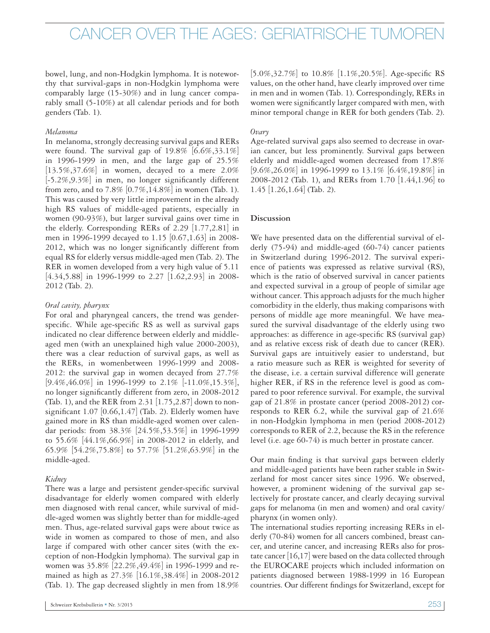bowel, lung, and non-Hodgkin lymphoma. It is noteworthy that survival-gaps in non-Hodgkin lymphoma were comparably large (15-30%) and in lung cancer comparably small (5-10%) at all calendar periods and for both genders (Tab. 1).

#### *Melanoma*

In melanoma, strongly decreasing survival gaps and RERs were found. The survival gap of  $19.8\%$  [6.6%,33.1%] in 1996-1999 in men, and the large gap of 25.5%  $[13.5\%, 37.6\%]$  in women, decayed to a mere 2.0% [-5.2%,9.3%] in men, no longer significantly different from zero, and to  $7.8\%$  [0.7%,14.8%] in women (Tab. 1). This was caused by very little improvement in the already high RS values of middle-aged patients, especially in women (90-93%), but larger survival gains over time in the elderly. Corresponding RERs of 2.29 [1.77,2.81] in men in 1996-1999 decayed to 1.15 [0.67,1.63] in 2008- 2012, which was no longer significantly different from equal RS for elderly versus middle-aged men (Tab. 2). The RER in women developed from a very high value of 5.11 [4.34,5.88] in 1996-1999 to 2.27 [1.62,2.93] in 2008- 2012 (Tab. 2).

#### *Oral cavity, pharynx*

For oral and pharyngeal cancers, the trend was genderspecific. While age-specific RS as well as survival gaps indicated no clear difference between elderly and middleaged men (with an unexplained high value 2000-2003), there was a clear reduction of survival gaps, as well as the RERs, in womenbetween 1996-1999 and 2008- 2012: the survival gap in women decayed from 27.7%  $[9.4\%, 46.0\%]$  in 1996-1999 to  $2.1\%$  [-11.0%, 15.3%], no longer significantly different from zero, in 2008-2012 (Tab. 1), and the RER from 2.31 [1.75,2.87] down to nonsignificant  $1.07$  [0.66,1.47] (Tab. 2). Elderly women have gained more in RS than middle-aged women over calendar periods: from 38.3% [24.5%,53.5%] in 1996-1999 to 55.6% [44.1%,66.9%] in 2008-2012 in elderly, and 65.9% [54.2%,75.8%] to 57.7% [51.2%,63.9%] in the middle-aged.

#### *Kidney*

There was a large and persistent gender-specific survival disadvantage for elderly women compared with elderly men diagnosed with renal cancer, while survival of middle-aged women was slightly better than for middle-aged men. Thus, age-related survival gaps were about twice as wide in women as compared to those of men, and also large if compared with other cancer sites (with the exception of non-Hodgkin lymphoma). The survival gap in women was 35.8% [22.2%,49.4%] in 1996-1999 and remained as high as 27.3% [16.1%,38.4%] in 2008-2012 (Tab. 1). The gap decreased slightly in men from 18.9%

[5.0%,32.7%] to 10.8% [1.1%,20.5%]. Age-specific RS values, on the other hand, have clearly improved over time in men and in women (Tab. 1). Correspondingly, RERs in women were significantly larger compared with men, with minor temporal change in RER for both genders (Tab. 2).

#### *Ovary*

Age-related survival gaps also seemed to decrease in ovarian cancer, but less prominently. Survival gaps between elderly and middle-aged women decreased from 17.8% [9.6%,26.0%] in 1996-1999 to 13.1% [6.4%,19.8%] in 2008-2012 (Tab. 1), and RERs from 1.70 [1.44,1.96] to 1.45 [1.26,1.64] (Tab. 2).

#### **Discussion**

We have presented data on the differential survival of elderly (75-94) and middle-aged (60-74) cancer patients in Switzerland during 1996-2012. The survival experience of patients was expressed as relative survival (RS), which is the ratio of observed survival in cancer patients and expected survival in a group of people of similar age without cancer. This approach adjusts for the much higher comorbidity in the elderly, thus making comparisons with persons of middle age more meaningful. We have measured the survival disadvantage of the elderly using two approaches: as difference in age-specific RS (survival gap) and as relative excess risk of death due to cancer (RER). Survival gaps are intuitively easier to understand, but a ratio measure such as RER is weighted for severity of the disease, i.e. a certain survival difference will generate higher RER, if RS in the reference level is good as compared to poor reference survival. For example, the survival gap of 21.8% in prostate cancer (period 2008-2012) corresponds to RER 6.2, while the survival gap of 21.6% in non-Hodgkin lymphoma in men (period 2008-2012) corresponds to RER of 2.2, because the RS in the reference level (i.e. age 60-74) is much better in prostate cancer.

Our main finding is that survival gaps between elderly and middle-aged patients have been rather stable in Switzerland for most cancer sites since 1996. We observed, however, a prominent widening of the survival gap selectively for prostate cancer, and clearly decaying survival gaps for melanoma (in men and women) and oral cavity/ pharynx (in women only).

The international studies reporting increasing RERs in elderly (70-84) women for all cancers combined, breast cancer, and uterine cancer, and increasing RERs also for prostate cancer [16,17] were based on the data collected through the EUROCARE projects which included information on patients diagnosed between 1988-1999 in 16 European countries. Our different findings for Switzerland, except for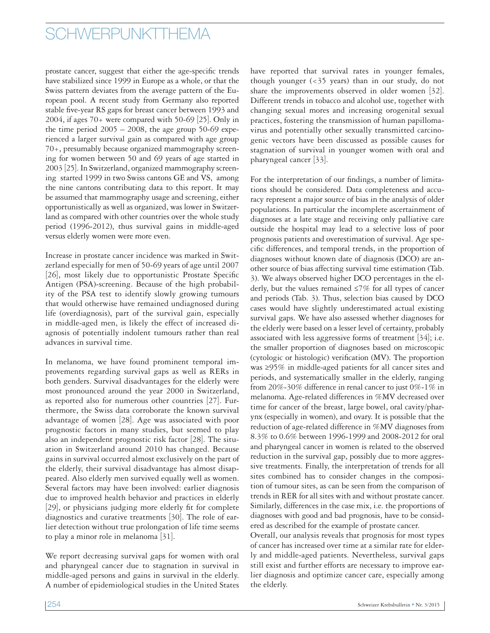### SCHWERPUNKTTHEMA

prostate cancer, suggest that either the age-specific trends have stabilized since 1999 in Europe as a whole, or that the Swiss pattern deviates from the average pattern of the European pool. A recent study from Germany also reported stable five-year RS gaps for breast cancer between 1993 and  $2004$ , if ages  $70+$  were compared with  $50-69$  [25]. Only in the time period  $2005 - 2008$ , the age group 50-69 experienced a larger survival gain as compared with age group 70+, presumably because organized mammography screening for women between 50 and 69 years of age started in 2003 [25]. In Switzerland, organized mammography screening started 1999 in two Swiss cantons GE and VS, among the nine cantons contributing data to this report. It may be assumed that mammography usage and screening, either opportunistically as well as organized, was lower in Switzerland as compared with other countries over the whole study period (1996-2012), thus survival gains in middle-aged versus elderly women were more even.

Increase in prostate cancer incidence was marked in Switzerland especially for men of 50-69 years of age until 2007 [26], most likely due to opportunistic Prostate Specific Antigen (PSA)-screening. Because of the high probability of the PSA test to identify slowly growing tumours that would otherwise have remained undiagnosed during life (overdiagnosis), part of the survival gain, especially in middle-aged men, is likely the effect of increased diagnosis of potentially indolent tumours rather than real advances in survival time.

In melanoma, we have found prominent temporal improvements regarding survival gaps as well as RERs in both genders. Survival disadvantages for the elderly were most pronounced around the year 2000 in Switzerland, as reported also for numerous other countries [27]. Furthermore, the Swiss data corroborate the known survival advantage of women [28]. Age was associated with poor prognostic factors in many studies, but seemed to play also an independent prognostic risk factor [28]. The situation in Switzerland around 2010 has changed. Because gains in survival occurred almost exclusively on the part of the elderly, their survival disadvantage has almost disappeared. Also elderly men survived equally well as women. Several factors may have been involved: earlier diagnosis due to improved health behavior and practices in elderly [29], or physicians judging more elderly fit for complete diagnostics and curative treatments [30]. The role of earlier detection without true prolongation of life time seems to play a minor role in melanoma [31].

We report decreasing survival gaps for women with oral and pharyngeal cancer due to stagnation in survival in middle-aged persons and gains in survival in the elderly. A number of epidemiological studies in the United States

have reported that survival rates in younger females, though younger  $\left( <\frac{35}{2} \right)$  years) than in our study, do not share the improvements observed in older women [32]. Different trends in tobacco and alcohol use, together with changing sexual mores and increasing orogenital sexual practices, fostering the transmission of human papillomavirus and potentially other sexually transmitted carcinogenic vectors have been discussed as possible causes for stagnation of survival in younger women with oral and pharyngeal cancer [33].

For the interpretation of our findings, a number of limitations should be considered. Data completeness and accuracy represent a major source of bias in the analysis of older populations. In particular the incomplete ascertainment of diagnoses at a late stage and receiving only palliative care outside the hospital may lead to a selective loss of poor prognosis patients and overestimation of survival. Age specific differences, and temporal trends, in the proportion of diagnoses without known date of diagnosis (DCO) are another source of bias affecting survival time estimation (Tab. 3). We always observed higher DCO percentages in the elderly, but the values remained  $\leq$ 7% for all types of cancer and periods (Tab. 3). Thus, selection bias caused by DCO cases would have slightly underestimated actual existing survival gaps. We have also assessed whether diagnoses for the elderly were based on a lesser level of certainty, probably associated with less aggressive forms of treatment [34]; i.e. the smaller proportion of diagnoses based on microscopic (cytologic or histologic) verification (MV). The proportion was ≥95% in middle-aged patients for all cancer sites and periods, and systematically smaller in the elderly, ranging from 20%-30% difference in renal cancer to just 0%-1% in melanoma. Age-related differences in %MV decreased over time for cancer of the breast, large bowel, oral cavity/pharynx (especially in women), and ovary. It is possible that the reduction of age-related difference in %MV diagnoses from 8.3% to 0.6% between 1996-1999 and 2008-2012 for oral and pharyngeal cancer in women is related to the observed reduction in the survival gap, possibly due to more aggressive treatments. Finally, the interpretation of trends for all sites combined has to consider changes in the composition of tumour sites, as can be seen from the comparison of trends in RER for all sites with and without prostate cancer. Similarly, differences in the case mix, i.e. the proportions of diagnoses with good and bad prognosis, have to be considered as described for the example of prostate cancer.

Overall, our analysis reveals that prognosis for most types of cancer has increased over time at a similar rate for elderly and middle-aged patients. Nevertheless, survival gaps still exist and further efforts are necessary to improve earlier diagnosis and optimize cancer care, especially among the elderly.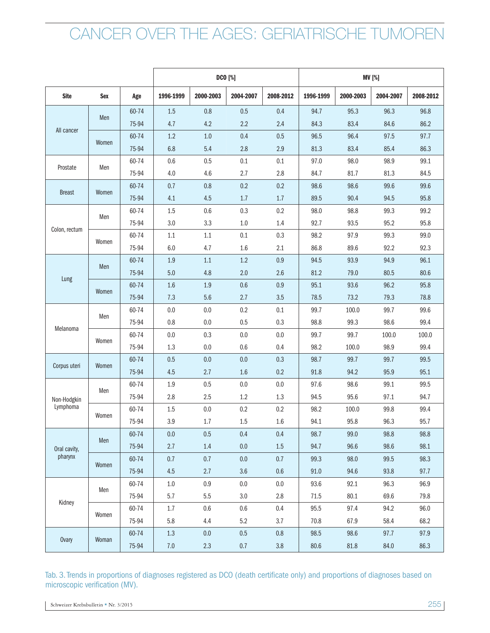|               |            |       |           |           | <b>DCO</b> [%] |           | <b>MV</b> [%] |           |           |           |  |
|---------------|------------|-------|-----------|-----------|----------------|-----------|---------------|-----------|-----------|-----------|--|
| <b>Site</b>   | <b>Sex</b> | Age   | 1996-1999 | 2000-2003 | 2004-2007      | 2008-2012 | 1996-1999     | 2000-2003 | 2004-2007 | 2008-2012 |  |
|               |            | 60-74 | 1.5       | 0.8       | 0.5            | 0.4       | 94.7          | 95.3      | 96.3      | 96.8      |  |
|               | Men        | 75-94 | 4.7       | 4.2       | 2.2            | 2.4       | 84.3          | 83.4      | 84.6      | 86.2      |  |
| All cancer    |            | 60-74 | 1.2       | 1.0       | 0.4            | 0.5       | 96.5          | 96.4      | 97.5      | 97.7      |  |
|               | Women      | 75-94 | 6.8       | 5.4       | 2.8            | 2.9       | 81.3          | 83.4      | 85.4      | 86.3      |  |
|               |            | 60-74 | 0.6       | 0.5       | 0.1            | 0.1       | 97.0          | 98.0      | 98.9      | 99.1      |  |
| Prostate      | Men        | 75-94 | 4.0       | 4.6       | 2.7            | 2.8       | 84.7          | 81.7      | 81.3      | 84.5      |  |
|               |            | 60-74 | 0.7       | 0.8       | 0.2            | 0.2       | 98.6          | 98.6      | 99.6      | 99.6      |  |
| <b>Breast</b> | Women      | 75-94 | 4.1       | 4.5       | 1.7            | 1.7       | 89.5          | 90.4      | 94.5      | 95.8      |  |
|               |            | 60-74 | 1.5       | 0.6       | 0.3            | 0.2       | 98.0          | 98.8      | 99.3      | 99.2      |  |
| Colon, rectum | Men        | 75-94 | 3.0       | 3.3       | 1.0            | 1.4       | 92.7          | 93.5      | 95.2      | 95.8      |  |
|               |            | 60-74 | 1.1       | 1.1       | 0.1            | 0.3       | 98.2          | 97.9      | 99.3      | 99.0      |  |
|               | Women      | 75-94 | 6.0       | 4.7       | 1.6            | 2.1       | 86.8          | 89.6      | 92.2      | 92.3      |  |
|               | Men        | 60-74 | 1.9       | 1.1       | 1.2            | 0.9       | 94.5          | 93.9      | 94.9      | 96.1      |  |
|               |            | 75-94 | 5.0       | 4.8       | 2.0            | 2.6       | 81.2          | 79.0      | 80.5      | 80.6      |  |
| Lung          |            | 60-74 | 1.6       | 1.9       | 0.6            | 0.9       | 95.1          | 93.6      | 96.2      | 95.8      |  |
|               | Women      | 75-94 | 7.3       | 5.6       | 2.7            | 3.5       | 78.5          | 73.2      | 79.3      | 78.8      |  |
|               |            | 60-74 | 0.0       | 0.0       | 0.2            | 0.1       | 99.7          | 100.0     | 99.7      | 99.6      |  |
|               | Men        | 75-94 | 0.8       | 0.0       | 0.5            | 0.3       | 98.8          | 99.3      | 98.6      | 99.4      |  |
| Melanoma      |            | 60-74 | 0.0       | 0.3       | 0.0            | 0.0       | 99.7          | 99.7      | 100.0     | 100.0     |  |
|               | Women      | 75-94 | 1.3       | 0.0       | 0.6            | 0.4       | 98.2          | 100.0     | 98.9      | 99.4      |  |
|               |            | 60-74 | 0.5       | 0.0       | 0.0            | 0.3       | 98.7          | 99.7      | 99.7      | 99.5      |  |
| Corpus uteri  | Women      | 75-94 | 4.5       | 2.7       | 1.6            | 0.2       | 91.8          | 94.2      | 95.9      | 95.1      |  |
|               |            | 60-74 | 1.9       | 0.5       | 0.0            | 0.0       | 97.6          | 98.6      | 99.1      | 99.5      |  |
| Non-Hodgkin   | Men        | 75-94 | 2.8       | 2.5       | 1.2            | 1.3       | 94.5          | 95.6      | 97.1      | 94.7      |  |
| Lymphoma      |            | 60-74 | 1.5       | 0.0       | 0.2            | 0.2       | 98.2          | 100.0     | 99.8      | 99.4      |  |
|               | Women      | 75-94 | 3.9       | 1.7       | 1.5            | 1.6       | 94.1          | 95.8      | 96.3      | 95.7      |  |
|               | Men        | 60-74 | 0.0       | 0.5       | 0.4            | 0.4       | 98.7          | 99.0      | 98.8      | 98.8      |  |
| Oral cavity,  |            | 75-94 | 2.7       | 1.4       | $0.0\,$        | $1.5\,$   | 94.7          | 96.6      | 98.6      | 98.1      |  |
| pharynx       |            | 60-74 | 0.7       | 0.7       | $0.0\,$        | 0.7       | 99.3          | 98.0      | 99.5      | 98.3      |  |
|               | Women      | 75-94 | 4.5       | 2.7       | 3.6            | $0.6\,$   | 91.0          | 94.6      | 93.8      | 97.7      |  |
|               | Men        | 60-74 | $1.0\,$   | 0.9       | $0.0\,$        | $0.0\,$   | 93.6          | 92.1      | 96.3      | 96.9      |  |
|               |            | 75-94 | 5.7       | 5.5       | $3.0\,$        | 2.8       | 71.5          | 80.1      | 69.6      | 79.8      |  |
| Kidney        |            | 60-74 | $1.7\,$   | $0.6\,$   | $0.6\,$        | $0.4\,$   | 95.5          | 97.4      | 94.2      | 96.0      |  |
|               | Women      | 75-94 | $5.8\,$   | $4.4\,$   | 5.2            | 3.7       | 70.8          | 67.9      | 58.4      | 68.2      |  |
|               |            | 60-74 | 1.3       | 0.0       | 0.5            | 0.8       | 98.5          | 98.6      | 97.7      | 97.9      |  |
| <b>Ovary</b>  | Woman      | 75-94 | $7.0\,$   | 2.3       | $0.7\,$        | $3.8\,$   | 80.6          | 81.8      | 84.0      | 86.3      |  |

Tab. 3. Trends in proportions of diagnoses registered as DCO (death certificate only) and proportions of diagnoses based on microscopic verification (MV).